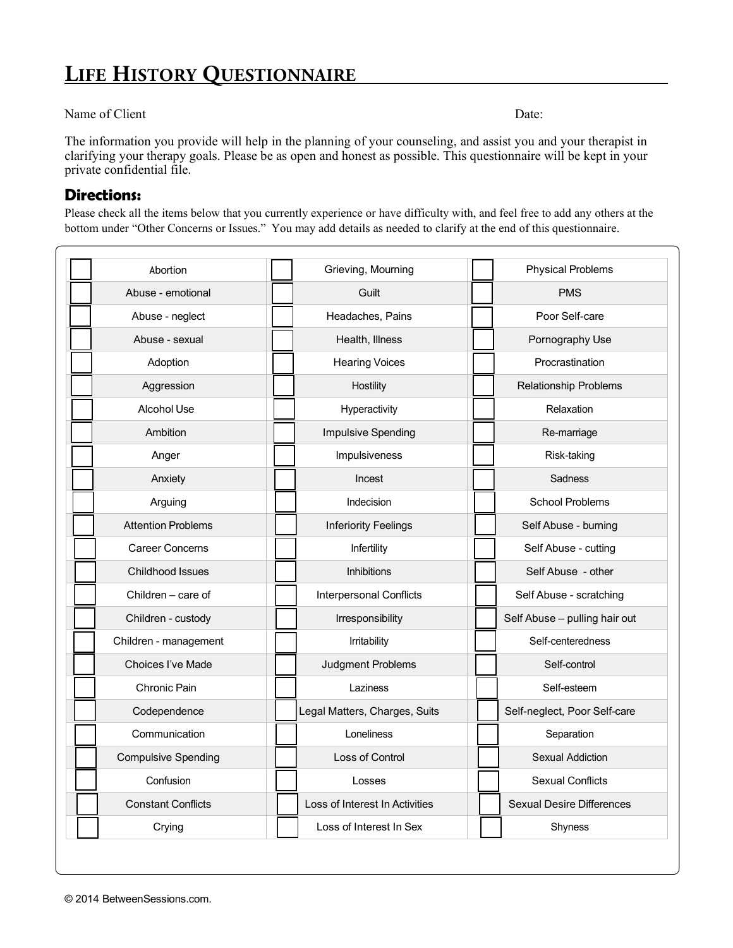## **LIFE HISTORY QUESTIONNAIRE**

## Name of Client Date:

The information you provide will help in the planning of your counseling, and assist you and your therapist in clarifying your therapy goals. Please be as open and honest as possible. This questionnaire will be kept in your private confidential file.

## **Directions:**

Please check all the items below that you currently experience or have difficulty with, and feel free to add any others at the bottom under "Other Concerns or Issues." You may add details as needed to clarify at the end of this questionnaire.

| Abortion                   | Grieving, Mourning             | <b>Physical Problems</b>         |
|----------------------------|--------------------------------|----------------------------------|
| Abuse - emotional          | Guilt                          | <b>PMS</b>                       |
| Abuse - neglect            | Headaches, Pains               | Poor Self-care                   |
| Abuse - sexual             | Health, Illness                | Pornography Use                  |
| Adoption                   | <b>Hearing Voices</b>          | Procrastination                  |
| Aggression                 | Hostility                      | <b>Relationship Problems</b>     |
| Alcohol Use                | Hyperactivity                  | Relaxation                       |
| Ambition                   | Impulsive Spending             | Re-marriage                      |
| Anger                      | Impulsiveness                  | Risk-taking                      |
| Anxiety                    | Incest                         | <b>Sadness</b>                   |
| Arguing                    | Indecision                     | <b>School Problems</b>           |
| <b>Attention Problems</b>  | <b>Inferiority Feelings</b>    | Self Abuse - burning             |
| <b>Career Concerns</b>     | Infertility                    | Self Abuse - cutting             |
| Childhood Issues           | <b>Inhibitions</b>             | Self Abuse - other               |
| Children – care of         | <b>Interpersonal Conflicts</b> | Self Abuse - scratching          |
| Children - custody         | Irresponsibility               | Self Abuse - pulling hair out    |
| Children - management      | Irritability                   | Self-centeredness                |
| Choices I've Made          | Judgment Problems              | Self-control                     |
| Chronic Pain               | Laziness                       | Self-esteem                      |
| Codependence               | Legal Matters, Charges, Suits  | Self-neglect, Poor Self-care     |
| Communication              | Loneliness                     | Separation                       |
| <b>Compulsive Spending</b> | Loss of Control                | <b>Sexual Addiction</b>          |
| Confusion                  | Losses                         | <b>Sexual Conflicts</b>          |
| <b>Constant Conflicts</b>  | Loss of Interest In Activities | <b>Sexual Desire Differences</b> |
| Crying                     | Loss of Interest In Sex        | Shyness                          |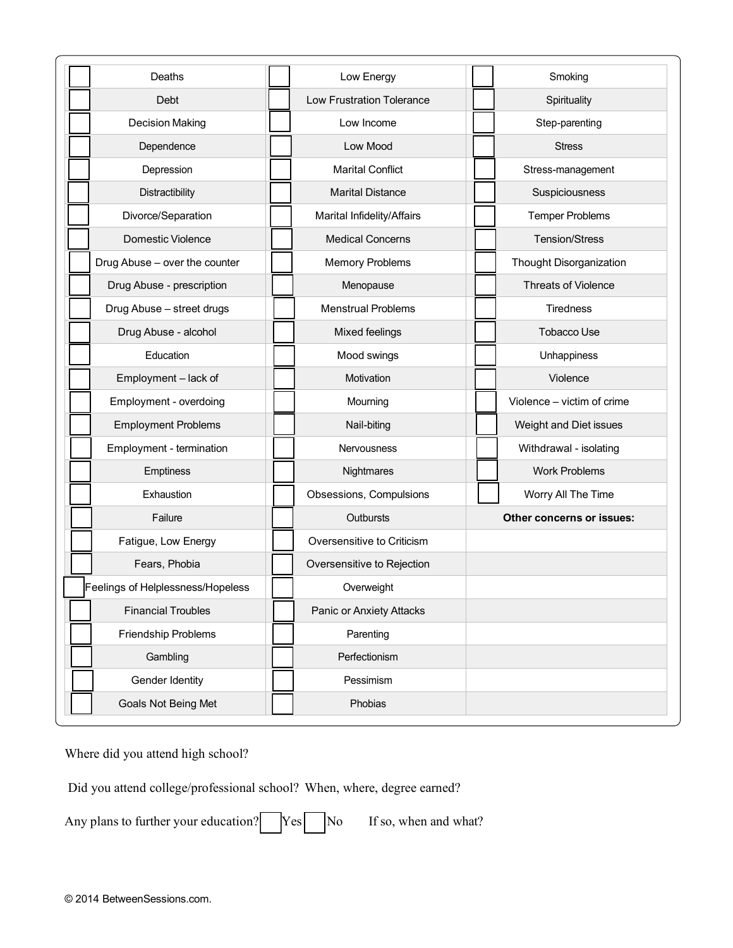| Deaths                            | Low Energy                       | Smoking                    |
|-----------------------------------|----------------------------------|----------------------------|
| Debt                              | <b>Low Frustration Tolerance</b> | Spirituality               |
| <b>Decision Making</b>            | Low Income                       | Step-parenting             |
| Dependence                        | Low Mood                         | <b>Stress</b>              |
| Depression                        | <b>Marital Conflict</b>          | Stress-management          |
| Distractibility                   | <b>Marital Distance</b>          | Suspiciousness             |
| Divorce/Separation                | Marital Infidelity/Affairs       | <b>Temper Problems</b>     |
| <b>Domestic Violence</b>          | <b>Medical Concerns</b>          | <b>Tension/Stress</b>      |
| Drug Abuse - over the counter     | <b>Memory Problems</b>           | Thought Disorganization    |
| Drug Abuse - prescription         | Menopause                        | Threats of Violence        |
| Drug Abuse - street drugs         | <b>Menstrual Problems</b>        | <b>Tiredness</b>           |
| Drug Abuse - alcohol              | Mixed feelings                   | <b>Tobacco Use</b>         |
| Education                         | Mood swings                      | Unhappiness                |
| Employment - lack of              | Motivation                       | Violence                   |
| Employment - overdoing            | Mourning                         | Violence - victim of crime |
| <b>Employment Problems</b>        | Nail-biting                      | Weight and Diet issues     |
| Employment - termination          | <b>Nervousness</b>               | Withdrawal - isolating     |
| Emptiness                         | Nightmares                       | <b>Work Problems</b>       |
| Exhaustion                        | Obsessions, Compulsions          | Worry All The Time         |
| Failure                           | Outbursts                        | Other concerns or issues:  |
| Fatigue, Low Energy               | Oversensitive to Criticism       |                            |
| Fears, Phobia                     | Oversensitive to Rejection       |                            |
| Feelings of Helplessness/Hopeless | Overweight                       |                            |
| <b>Financial Troubles</b>         | <b>Panic or Anxiety Attacks</b>  |                            |
| Friendship Problems               | Parenting                        |                            |
| Gambling                          | Perfectionism                    |                            |
| Gender Identity                   | Pessimism                        |                            |
| Goals Not Being Met               | Phobias                          |                            |

Where did you attend high school?

Did you attend college/professional school? When, where, degree earned?

Any plans to further your education?  $Yes$  No If so, when and what?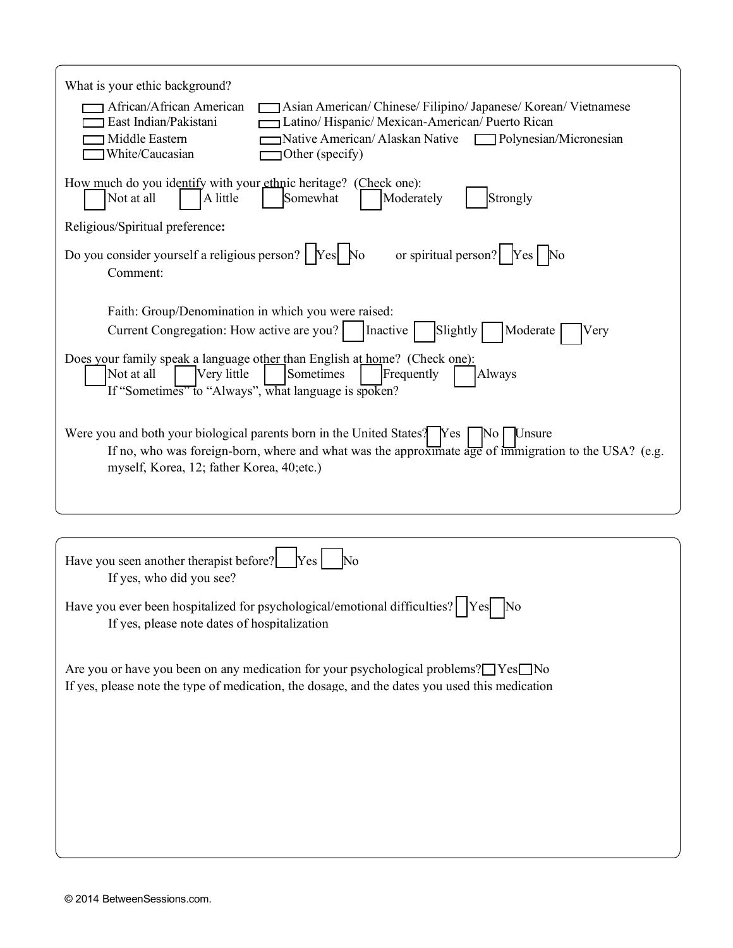| What is your ethic background?<br>African/African American<br>Asian American/Chinese/Filipino/Japanese/Korean/Vietnamese<br>East Indian/Pakistani<br>Latino/Hispanic/Mexican-American/Puerto Rican<br>Native American/Alaskan Native<br><b>1 Middle Eastern</b><br>Polynesian/Micronesian<br>White/Caucasian<br>Other (specify) |
|---------------------------------------------------------------------------------------------------------------------------------------------------------------------------------------------------------------------------------------------------------------------------------------------------------------------------------|
| How much do you identify with your ethnic heritage? (Check one):<br>A little<br>Somewhat<br>Strongly<br>Not at all<br>Moderately<br>Religious/Spiritual preference:                                                                                                                                                             |
| or spiritual person? $\begin{bmatrix} \n\end{bmatrix}$ $\begin{bmatrix} \n\end{bmatrix}$ $\begin{bmatrix} \n\end{bmatrix}$ No<br>Do you consider yourself a religious person?   Yes No<br>Comment:                                                                                                                              |
| Faith: Group/Denomination in which you were raised:<br>Current Congregation: How active are you?<br>Inactive<br>Slightly<br>Moderate<br>Very                                                                                                                                                                                    |
| Does your family speak a language other than English at home? (Check one):<br>Sometimes<br>Not at all<br>Very little<br>Frequently<br>Always<br>If "Sometimes" to "Always", what language is spoken?                                                                                                                            |
| Were you and both your biological parents born in the United States? Yes<br>Unsure<br>$\overline{\rm No}$<br>If no, who was foreign-born, where and what was the approximate age of immigration to the USA? (e.g.<br>myself, Korea, 12; father Korea, 40; etc.)                                                                 |
|                                                                                                                                                                                                                                                                                                                                 |
| Have you seen another therapist before?<br>Yes<br>If yes, who did you see?                                                                                                                                                                                                                                                      |
| Have you ever been hospitalized for psychological/emotional difficulties?   Yes<br>$\overline{\rm No}$<br>If yes, please note dates of hospitalization                                                                                                                                                                          |
| Are you or have you been on any medication for your psychological problems? $\Box$ Yes $\Box$ No<br>If yes, please note the type of medication, the dosage, and the dates you used this medication                                                                                                                              |
|                                                                                                                                                                                                                                                                                                                                 |
|                                                                                                                                                                                                                                                                                                                                 |
|                                                                                                                                                                                                                                                                                                                                 |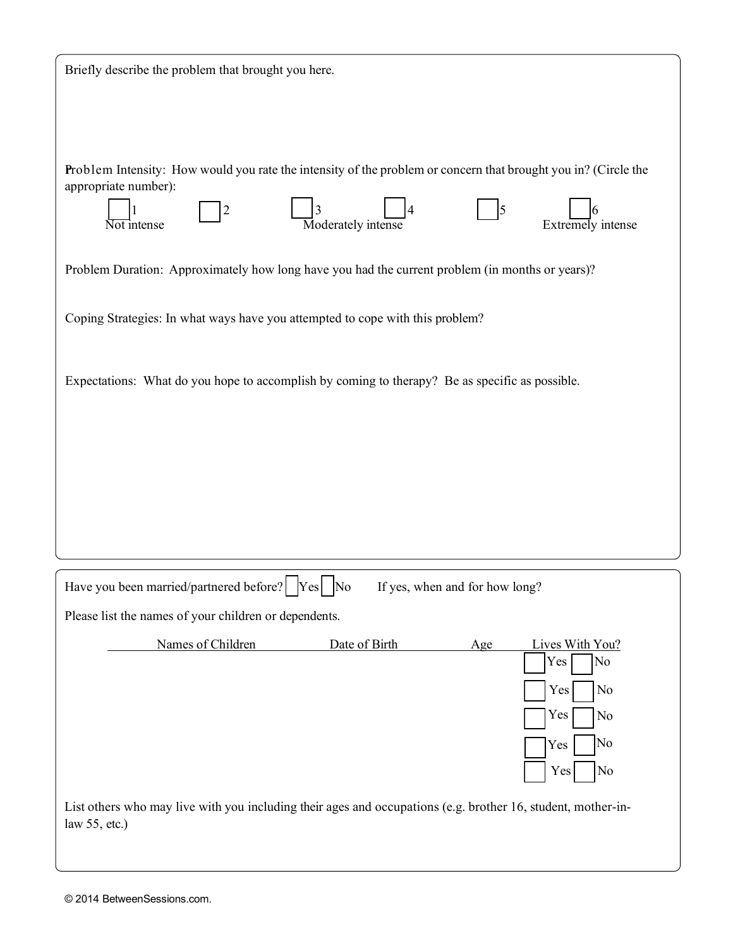| Briefly describe the problem that brought you here.                                                                                    |  |
|----------------------------------------------------------------------------------------------------------------------------------------|--|
|                                                                                                                                        |  |
|                                                                                                                                        |  |
| Problem Intensity: How would you rate the intensity of the problem or concern that brought you in? (Circle the<br>appropriate number): |  |
| Moderately intense<br>Extremely intense<br>Not intense                                                                                 |  |
| Problem Duration: Approximately how long have you had the current problem (in months or years)?                                        |  |
| Coping Strategies: In what ways have you attempted to cope with this problem?                                                          |  |
| Expectations: What do you hope to accomplish by coming to therapy? Be as specific as possible.                                         |  |
|                                                                                                                                        |  |
|                                                                                                                                        |  |
|                                                                                                                                        |  |
|                                                                                                                                        |  |
|                                                                                                                                        |  |
| Have you been married/partnered before?   Yes   No<br>If yes, when and for how long?                                                   |  |
| Please list the names of your children or dependents.                                                                                  |  |
| Names of Children<br>Date of Birth<br>Lives With You?<br>Age<br>No<br>Yes                                                              |  |
| No<br>Yes                                                                                                                              |  |
| Yes<br>No                                                                                                                              |  |
| No<br>Yes<br>Yes<br>No                                                                                                                 |  |
| List others who may live with you including their ages and occupations (e.g. brother 16, student, mother-in-<br>law $55$ , etc.)       |  |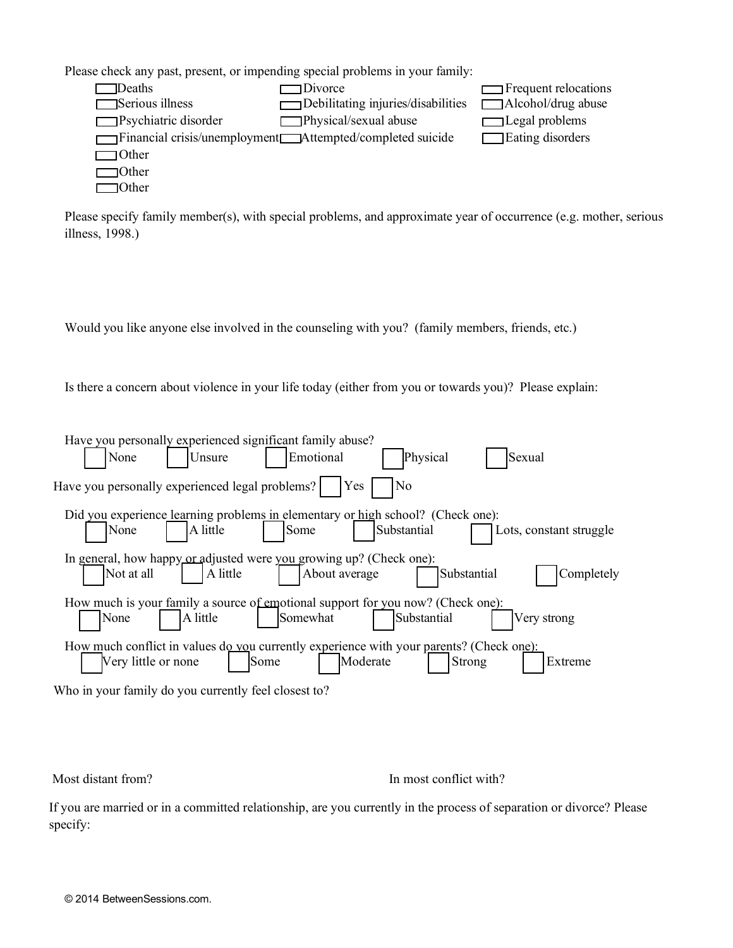Please check any past, present, or impending special problems in your family:

| Deaths                      | Divorce                                                      | $\Box$ Frequent relocations |
|-----------------------------|--------------------------------------------------------------|-----------------------------|
| $\Box$ Serious illness      | Debilitating injuries/disabilities                           | Alcohol/drug abuse          |
| $\Box$ Psychiatric disorder | Physical/sexual abuse                                        | $\Box$ Legal problems       |
|                             | Financial crisis/unemployment<br>Attempted/completed suicide | Eating disorders            |
| $\Box$ Other                |                                                              |                             |
| ∃Other                      |                                                              |                             |
| 10ther                      |                                                              |                             |

Please specify family member(s), with special problems, and approximate year of occurrence (e.g. mother, serious illness, 1998.)

Would you like anyone else involved in the counseling with you? (family members, friends, etc.)

Is there a concern about violence in your life today (either from you or towards you)? Please explain:

| Have you personally experienced significant family abuse?<br>Physical<br>Emotional<br>None<br>Sexual<br>Unsure                                          |
|---------------------------------------------------------------------------------------------------------------------------------------------------------|
| Have you personally experienced legal problems?<br><b>Yes</b><br>No                                                                                     |
| Did you experience learning problems in elementary or high school? (Check one):<br>A little<br>Substantial<br>Some<br>None<br>Lots, constant struggle   |
| In general, how happy or adjusted were you growing up? (Check one):<br>A little<br>About average<br>Not at all<br>Substantial<br>Completely             |
| How much is your family a source of emotional support for you now? (Check one):<br>A little<br>Substantial<br>Somewhat<br>None<br>Very strong           |
| How much conflict in values do vou currently experience with your parents? (Check one):<br>Moderate<br>Very little or none<br>Strong<br>Some<br>Extreme |
| Who in your family do you currently feel closest to?                                                                                                    |

Who in your family do you currently feel closest to?

Most distant from? In most conflict with?

If you are married or in a committed relationship, are you currently in the process of separation or divorce? Please specify: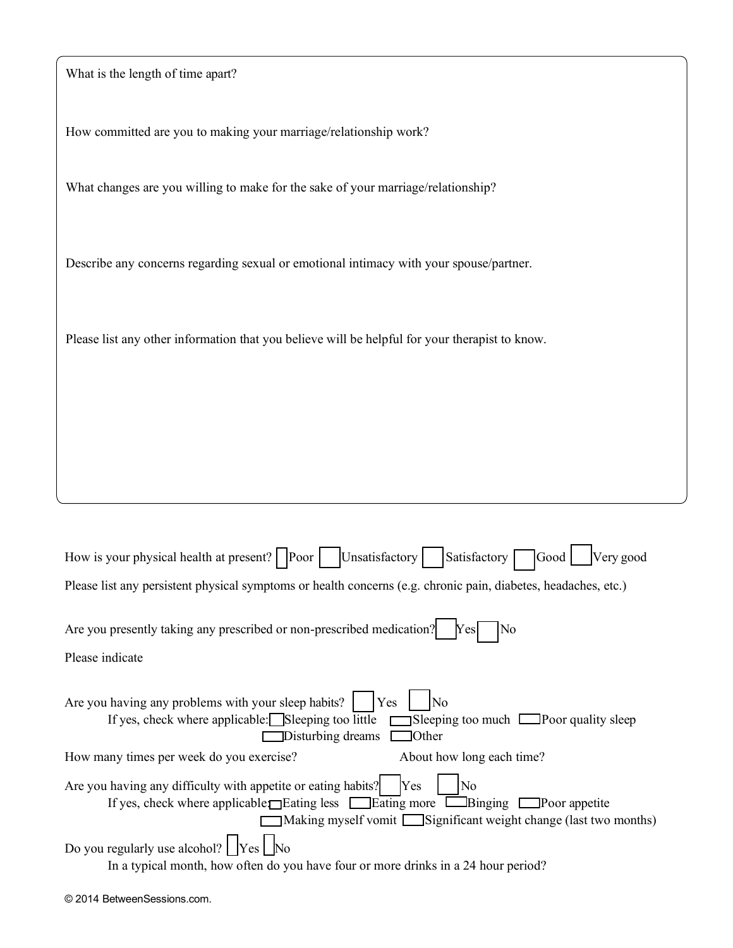| What is the length of time apart?                                                                                                                                                                                                |
|----------------------------------------------------------------------------------------------------------------------------------------------------------------------------------------------------------------------------------|
| How committed are you to making your marriage/relationship work?                                                                                                                                                                 |
| What changes are you willing to make for the sake of your marriage/relationship?                                                                                                                                                 |
| Describe any concerns regarding sexual or emotional intimacy with your spouse/partner.                                                                                                                                           |
| Please list any other information that you believe will be helpful for your therapist to know.                                                                                                                                   |
|                                                                                                                                                                                                                                  |
|                                                                                                                                                                                                                                  |
|                                                                                                                                                                                                                                  |
|                                                                                                                                                                                                                                  |
| Satisfactory<br>Unsatisfactory<br>Very good<br>How is your physical health at present?   Poor  <br>Good                                                                                                                          |
| Please list any persistent physical symptoms or health concerns (e.g. chronic pain, diabetes, headaches, etc.)                                                                                                                   |
| Are you presently taking any prescribed or non-prescribed medication?<br>No<br>Yes                                                                                                                                               |
| Please indicate                                                                                                                                                                                                                  |
| Are you having any problems with your sleep habits?<br>Yes<br>No<br>If yes, check where applicable: Sleeping too little<br>$\Box$ Sleeping too much $\Box$ Poor quality sleep<br>Disturbing dreams<br>$\Box$ Other               |
| About how long each time?<br>How many times per week do you exercise?                                                                                                                                                            |
| Are you having any difficulty with appetite or eating habits?<br>Yes<br>No<br>If yes, check where applicable Eating less Electing more Elements Poor appetite<br>Making myself vomit Significant weight change (last two months) |
| Do you regularly use alcohol? $\sqrt{\frac{1}{1 + \frac{1}{1}}\left[\frac{1}{1 + \frac{1}{1}}\right]}$<br>In a typical month, how often do you have four or more drinks in a 24 hour period?                                     |

| © 2014 BetweenSessions.com. |  |
|-----------------------------|--|
|-----------------------------|--|